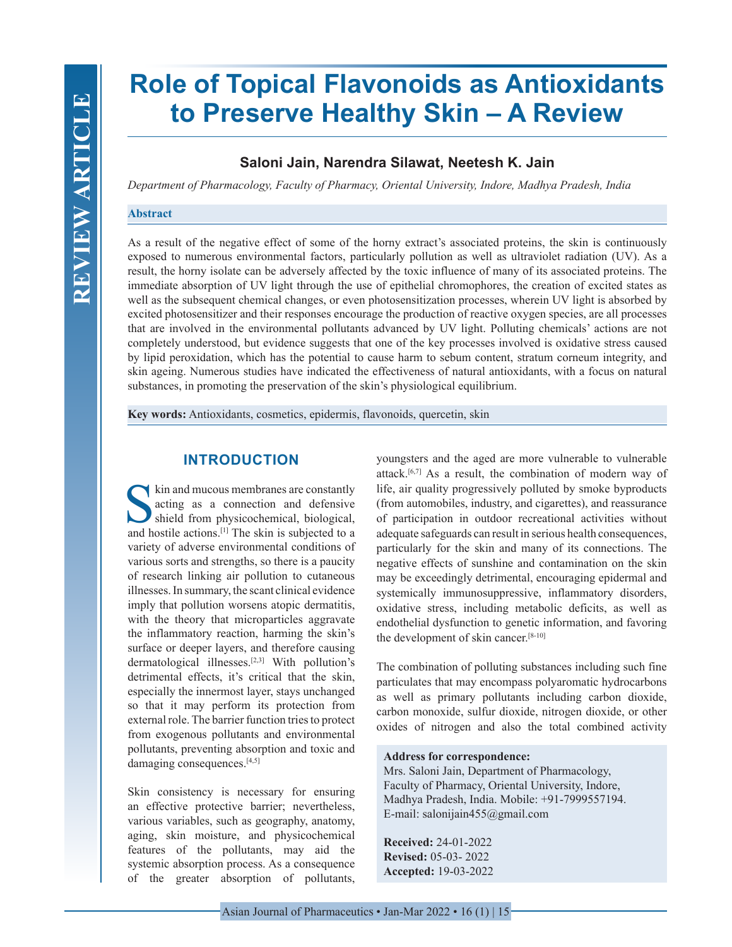# **Role of Topical Flavonoids as Antioxidants to Preserve Healthy Skin – A Review**

# **Saloni Jain, Narendra Silawat, Neetesh K. Jain**

*Department of Pharmacology, Faculty of Pharmacy, Oriental University, Indore, Madhya Pradesh, India*

#### **Abstract**

As a result of the negative effect of some of the horny extract's associated proteins, the skin is continuously exposed to numerous environmental factors, particularly pollution as well as ultraviolet radiation (UV). As a result, the horny isolate can be adversely affected by the toxic influence of many of its associated proteins. The immediate absorption of UV light through the use of epithelial chromophores, the creation of excited states as well as the subsequent chemical changes, or even photosensitization processes, wherein UV light is absorbed by excited photosensitizer and their responses encourage the production of reactive oxygen species, are all processes that are involved in the environmental pollutants advanced by UV light. Polluting chemicals' actions are not completely understood, but evidence suggests that one of the key processes involved is oxidative stress caused by lipid peroxidation, which has the potential to cause harm to sebum content, stratum corneum integrity, and skin ageing. Numerous studies have indicated the effectiveness of natural antioxidants, with a focus on natural substances, in promoting the preservation of the skin's physiological equilibrium.

**Key words:** Antioxidants, cosmetics, epidermis, flavonoids, quercetin, skin

## **INTRODUCTION**

Skin and mucous membranes are constantly<br>acting as a connection and defensive<br>shield from physicochemical, biological,<br>and hostile actions [1] The skin is subjected to a acting as a connection and defensive shield from physicochemical, biological, and hostile actions.[1] The skin is subjected to a variety of adverse environmental conditions of various sorts and strengths, so there is a paucity of research linking air pollution to cutaneous illnesses. In summary, the scant clinical evidence imply that pollution worsens atopic dermatitis, with the theory that microparticles aggravate the inflammatory reaction, harming the skin's surface or deeper layers, and therefore causing dermatological illnesses.[2,3] With pollution's detrimental effects, it's critical that the skin, especially the innermost layer, stays unchanged so that it may perform its protection from external role. The barrier function tries to protect from exogenous pollutants and environmental pollutants, preventing absorption and toxic and damaging consequences.<sup>[4,5]</sup>

Skin consistency is necessary for ensuring an effective protective barrier; nevertheless, various variables, such as geography, anatomy, aging, skin moisture, and physicochemical features of the pollutants, may aid the systemic absorption process. As a consequence of the greater absorption of pollutants,

youngsters and the aged are more vulnerable to vulnerable attack.[6,7] As a result, the combination of modern way of life, air quality progressively polluted by smoke byproducts (from automobiles, industry, and cigarettes), and reassurance of participation in outdoor recreational activities without adequate safeguards can result in serious health consequences, particularly for the skin and many of its connections. The negative effects of sunshine and contamination on the skin may be exceedingly detrimental, encouraging epidermal and systemically immunosuppressive, inflammatory disorders, oxidative stress, including metabolic deficits, as well as endothelial dysfunction to genetic information, and favoring the development of skin cancer.<sup>[8-10]</sup>

The combination of polluting substances including such fine particulates that may encompass polyaromatic hydrocarbons as well as primary pollutants including carbon dioxide, carbon monoxide, sulfur dioxide, nitrogen dioxide, or other oxides of nitrogen and also the total combined activity

#### **Address for correspondence:**

Mrs. Saloni Jain, Department of Pharmacology, Faculty of Pharmacy, Oriental University, Indore, Madhya Pradesh, India. Mobile: +91-7999557194. E-mail: salonijain455@gmail.com

**Received:** 24-01-2022 **Revised:** 05-03- 2022 **Accepted:** 19-03-2022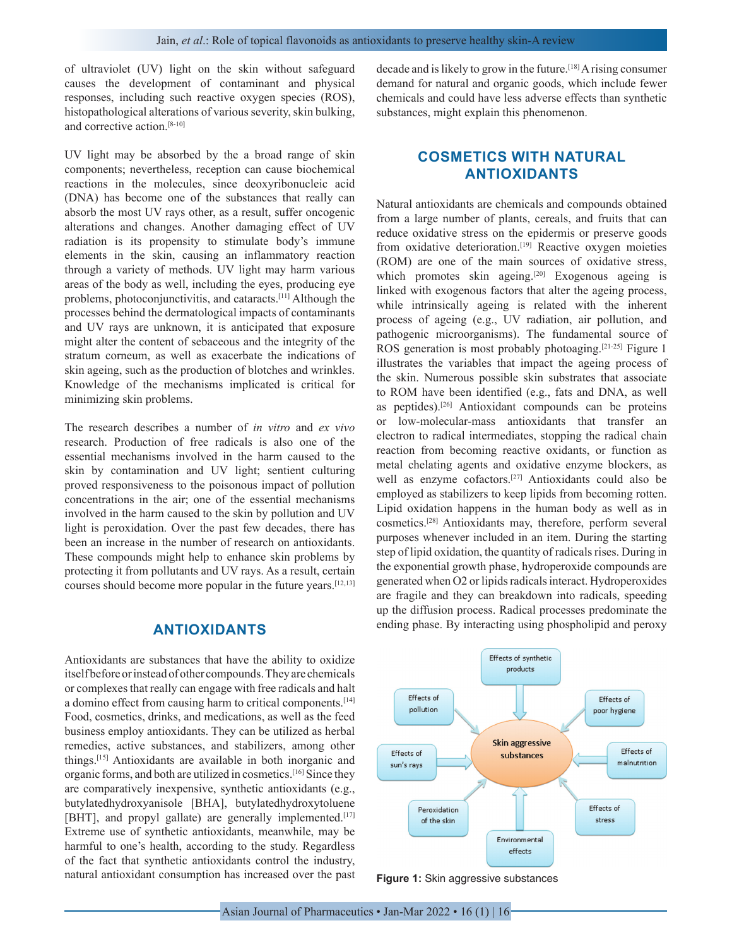of ultraviolet (UV) light on the skin without safeguard causes the development of contaminant and physical responses, including such reactive oxygen species (ROS), histopathological alterations of various severity, skin bulking, and corrective action.[8-10]

UV light may be absorbed by the a broad range of skin components; nevertheless, reception can cause biochemical reactions in the molecules, since deoxyribonucleic acid (DNA) has become one of the substances that really can absorb the most UV rays other, as a result, suffer oncogenic alterations and changes. Another damaging effect of UV radiation is its propensity to stimulate body's immune elements in the skin, causing an inflammatory reaction through a variety of methods. UV light may harm various areas of the body as well, including the eyes, producing eye problems, photoconjunctivitis, and cataracts.[11] Although the processes behind the dermatological impacts of contaminants and UV rays are unknown, it is anticipated that exposure might alter the content of sebaceous and the integrity of the stratum corneum, as well as exacerbate the indications of skin ageing, such as the production of blotches and wrinkles. Knowledge of the mechanisms implicated is critical for minimizing skin problems.

The research describes a number of *in vitro* and *ex vivo*  research. Production of free radicals is also one of the essential mechanisms involved in the harm caused to the skin by contamination and UV light; sentient culturing proved responsiveness to the poisonous impact of pollution concentrations in the air; one of the essential mechanisms involved in the harm caused to the skin by pollution and UV light is peroxidation. Over the past few decades, there has been an increase in the number of research on antioxidants. These compounds might help to enhance skin problems by protecting it from pollutants and UV rays. As a result, certain courses should become more popular in the future years.[12,13]

## **ANTIOXIDANTS**

Antioxidants are substances that have the ability to oxidize itself before or instead of other compounds. They are chemicals or complexes that really can engage with free radicals and halt a domino effect from causing harm to critical components.<sup>[14]</sup> Food, cosmetics, drinks, and medications, as well as the feed business employ antioxidants. They can be utilized as herbal remedies, active substances, and stabilizers, among other things.[15] Antioxidants are available in both inorganic and organic forms, and both are utilized in cosmetics.[16] Since they are comparatively inexpensive, synthetic antioxidants (e.g., butylatedhydroxyanisole [BHA], butylatedhydroxytoluene [BHT], and propyl gallate) are generally implemented.<sup>[17]</sup> Extreme use of synthetic antioxidants, meanwhile, may be harmful to one's health, according to the study. Regardless of the fact that synthetic antioxidants control the industry, natural antioxidant consumption has increased over the past decade and is likely to grow in the future.[18] A rising consumer demand for natural and organic goods, which include fewer chemicals and could have less adverse effects than synthetic substances, might explain this phenomenon.

# **COSMETICS WITH NATURAL ANTIOXIDANTS**

Natural antioxidants are chemicals and compounds obtained from a large number of plants, cereals, and fruits that can reduce oxidative stress on the epidermis or preserve goods from oxidative deterioration.<sup>[19]</sup> Reactive oxygen moieties (ROM) are one of the main sources of oxidative stress, which promotes skin ageing.<sup>[20]</sup> Exogenous ageing is linked with exogenous factors that alter the ageing process, while intrinsically ageing is related with the inherent process of ageing (e.g., UV radiation, air pollution, and pathogenic microorganisms). The fundamental source of ROS generation is most probably photoaging.[21-25] Figure 1 illustrates the variables that impact the ageing process of the skin. Numerous possible skin substrates that associate to ROM have been identified (e.g., fats and DNA, as well as peptides).[26] Antioxidant compounds can be proteins or low-molecular-mass antioxidants that transfer an electron to radical intermediates, stopping the radical chain reaction from becoming reactive oxidants, or function as metal chelating agents and oxidative enzyme blockers, as well as enzyme cofactors.[27] Antioxidants could also be employed as stabilizers to keep lipids from becoming rotten. Lipid oxidation happens in the human body as well as in cosmetics.[28] Antioxidants may, therefore, perform several purposes whenever included in an item. During the starting step of lipid oxidation, the quantity of radicals rises. During in the exponential growth phase, hydroperoxide compounds are generated when O2 or lipids radicals interact. Hydroperoxides are fragile and they can breakdown into radicals, speeding up the diffusion process. Radical processes predominate the ending phase. By interacting using phospholipid and peroxy



**Figure 1:** Skin aggressive substances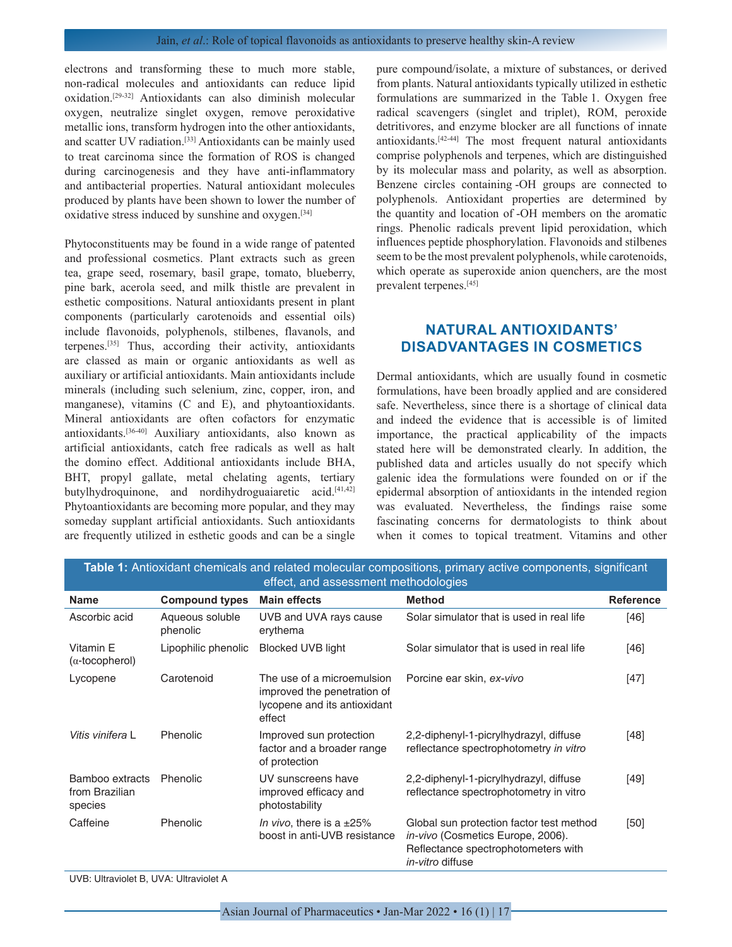electrons and transforming these to much more stable, non-radical molecules and antioxidants can reduce lipid oxidation.[29-32] Antioxidants can also diminish molecular oxygen, neutralize singlet oxygen, remove peroxidative metallic ions, transform hydrogen into the other antioxidants, and scatter UV radiation.[33] Antioxidants can be mainly used to treat carcinoma since the formation of ROS is changed during carcinogenesis and they have anti-inflammatory and antibacterial properties. Natural antioxidant molecules produced by plants have been shown to lower the number of oxidative stress induced by sunshine and oxygen.[34]

Phytoconstituents may be found in a wide range of patented and professional cosmetics. Plant extracts such as green tea, grape seed, rosemary, basil grape, tomato, blueberry, pine bark, acerola seed, and milk thistle are prevalent in esthetic compositions. Natural antioxidants present in plant components (particularly carotenoids and essential oils) include flavonoids, polyphenols, stilbenes, flavanols, and terpenes.[35] Thus, according their activity, antioxidants are classed as main or organic antioxidants as well as auxiliary or artificial antioxidants. Main antioxidants include minerals (including such selenium, zinc, copper, iron, and manganese), vitamins (C and E), and phytoantioxidants. Mineral antioxidants are often cofactors for enzymatic antioxidants.[36-40] Auxiliary antioxidants, also known as artificial antioxidants, catch free radicals as well as halt the domino effect. Additional antioxidants include BHA, BHT, propyl gallate, metal chelating agents, tertiary butylhydroquinone, and nordihydroguaiaretic acid.<sup>[41,42]</sup> Phytoantioxidants are becoming more popular, and they may someday supplant artificial antioxidants. Such antioxidants are frequently utilized in esthetic goods and can be a single

pure compound/isolate, a mixture of substances, or derived from plants. Natural antioxidants typically utilized in esthetic formulations are summarized in the Table 1. Oxygen free radical scavengers (singlet and triplet), ROM, peroxide detritivores, and enzyme blocker are all functions of innate antioxidants.[42-44] The most frequent natural antioxidants comprise polyphenols and terpenes, which are distinguished by its molecular mass and polarity, as well as absorption. Benzene circles containing -OH groups are connected to polyphenols. Antioxidant properties are determined by the quantity and location of -OH members on the aromatic rings. Phenolic radicals prevent lipid peroxidation, which influences peptide phosphorylation. Flavonoids and stilbenes seem to be the most prevalent polyphenols, while carotenoids, which operate as superoxide anion quenchers, are the most prevalent terpenes.[45]

# **NATURAL ANTIOXIDANTS' DISADVANTAGES IN COSMETICS**

Dermal antioxidants, which are usually found in cosmetic formulations, have been broadly applied and are considered safe. Nevertheless, since there is a shortage of clinical data and indeed the evidence that is accessible is of limited importance, the practical applicability of the impacts stated here will be demonstrated clearly. In addition, the published data and articles usually do not specify which galenic idea the formulations were founded on or if the epidermal absorption of antioxidants in the intended region was evaluated. Nevertheless, the findings raise some fascinating concerns for dermatologists to think about when it comes to topical treatment. Vitamins and other

| Table 1: Antioxidant chemicals and related molecular compositions, primary active components, significant<br>effect, and assessment methodologies |                             |                                                                                                     |                                                                                                                                                 |                  |  |  |  |
|---------------------------------------------------------------------------------------------------------------------------------------------------|-----------------------------|-----------------------------------------------------------------------------------------------------|-------------------------------------------------------------------------------------------------------------------------------------------------|------------------|--|--|--|
| <b>Name</b>                                                                                                                                       | <b>Compound types</b>       | <b>Main effects</b>                                                                                 | <b>Method</b>                                                                                                                                   | <b>Reference</b> |  |  |  |
| Ascorbic acid                                                                                                                                     | Aqueous soluble<br>phenolic | UVB and UVA rays cause<br>erythema                                                                  | Solar simulator that is used in real life                                                                                                       | [46]             |  |  |  |
| Vitamin E<br>$(\alpha$ -tocopherol)                                                                                                               | Lipophilic phenolic         | <b>Blocked UVB light</b>                                                                            | Solar simulator that is used in real life                                                                                                       | [46]             |  |  |  |
| Lycopene                                                                                                                                          | Carotenoid                  | The use of a microemulsion<br>improved the penetration of<br>lycopene and its antioxidant<br>effect | Porcine ear skin, ex-vivo                                                                                                                       | $[47]$           |  |  |  |
| Vitis vinifera L                                                                                                                                  | Phenolic                    | Improved sun protection<br>factor and a broader range<br>of protection                              | 2,2-diphenyl-1-picrylhydrazyl, diffuse<br>reflectance spectrophotometry in vitro                                                                | [48]             |  |  |  |
| Bamboo extracts<br>from Brazilian<br>species                                                                                                      | Phenolic                    | UV sunscreens have<br>improved efficacy and<br>photostability                                       | 2,2-diphenyl-1-picrylhydrazyl, diffuse<br>reflectance spectrophotometry in vitro                                                                | [49]             |  |  |  |
| Caffeine                                                                                                                                          | <b>Phenolic</b>             | In vivo, there is a $\pm 25\%$<br>boost in anti-UVB resistance                                      | Global sun protection factor test method<br>in-vivo (Cosmetics Europe, 2006).<br>Reflectance spectrophotometers with<br><i>in-vitro</i> diffuse | [50]             |  |  |  |

UVB: Ultraviolet B, UVA: Ultraviolet A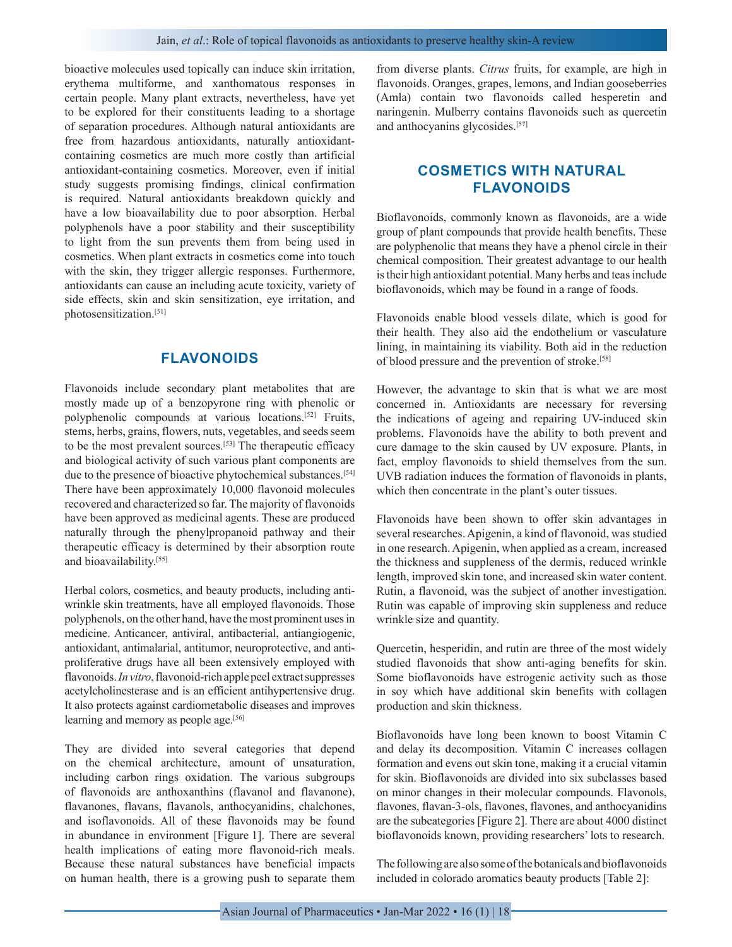bioactive molecules used topically can induce skin irritation, erythema multiforme, and xanthomatous responses in certain people. Many plant extracts, nevertheless, have yet to be explored for their constituents leading to a shortage of separation procedures. Although natural antioxidants are free from hazardous antioxidants, naturally antioxidantcontaining cosmetics are much more costly than artificial antioxidant-containing cosmetics. Moreover, even if initial study suggests promising findings, clinical confirmation is required. Natural antioxidants breakdown quickly and have a low bioavailability due to poor absorption. Herbal polyphenols have a poor stability and their susceptibility to light from the sun prevents them from being used in cosmetics. When plant extracts in cosmetics come into touch with the skin, they trigger allergic responses. Furthermore, antioxidants can cause an including acute toxicity, variety of side effects, skin and skin sensitization, eye irritation, and photosensitization.[51]

## **FLAVONOIDS**

Flavonoids include secondary plant metabolites that are mostly made up of a benzopyrone ring with phenolic or polyphenolic compounds at various locations.[52] Fruits, stems, herbs, grains, flowers, nuts, vegetables, and seeds seem to be the most prevalent sources.[53] The therapeutic efficacy and biological activity of such various plant components are due to the presence of bioactive phytochemical substances.<sup>[54]</sup> There have been approximately 10,000 flavonoid molecules recovered and characterized so far. The majority of flavonoids have been approved as medicinal agents. These are produced naturally through the phenylpropanoid pathway and their therapeutic efficacy is determined by their absorption route and bioavailability.[55]

Herbal colors, cosmetics, and beauty products, including antiwrinkle skin treatments, have all employed flavonoids. Those polyphenols, on the other hand, have the most prominent uses in medicine. Anticancer, antiviral, antibacterial, antiangiogenic, antioxidant, antimalarial, antitumor, neuroprotective, and antiproliferative drugs have all been extensively employed with flavonoids. *In vitro*, flavonoid-rich apple peel extract suppresses acetylcholinesterase and is an efficient antihypertensive drug. It also protects against cardiometabolic diseases and improves learning and memory as people age.<sup>[56]</sup>

They are divided into several categories that depend on the chemical architecture, amount of unsaturation, including carbon rings oxidation. The various subgroups of flavonoids are anthoxanthins (flavanol and flavanone), flavanones, flavans, flavanols, anthocyanidins, chalchones, and isoflavonoids. All of these flavonoids may be found in abundance in environment [Figure 1]. There are several health implications of eating more flavonoid-rich meals. Because these natural substances have beneficial impacts on human health, there is a growing push to separate them

from diverse plants. *Citrus* fruits, for example, are high in flavonoids. Oranges, grapes, lemons, and Indian gooseberries (Amla) contain two flavonoids called hesperetin and naringenin. Mulberry contains flavonoids such as quercetin and anthocyanins glycosides.[57]

# **COSMETICS WITH NATURAL FLAVONOIDS**

Bioflavonoids, commonly known as flavonoids, are a wide group of plant compounds that provide health benefits. These are polyphenolic that means they have a phenol circle in their chemical composition. Their greatest advantage to our health is their high antioxidant potential. Many herbs and teas include bioflavonoids, which may be found in a range of foods.

Flavonoids enable blood vessels dilate, which is good for their health. They also aid the endothelium or vasculature lining, in maintaining its viability. Both aid in the reduction of blood pressure and the prevention of stroke.[58]

However, the advantage to skin that is what we are most concerned in. Antioxidants are necessary for reversing the indications of ageing and repairing UV-induced skin problems. Flavonoids have the ability to both prevent and cure damage to the skin caused by UV exposure. Plants, in fact, employ flavonoids to shield themselves from the sun. UVB radiation induces the formation of flavonoids in plants, which then concentrate in the plant's outer tissues.

Flavonoids have been shown to offer skin advantages in several researches. Apigenin, a kind of flavonoid, was studied in one research. Apigenin, when applied as a cream, increased the thickness and suppleness of the dermis, reduced wrinkle length, improved skin tone, and increased skin water content. Rutin, a flavonoid, was the subject of another investigation. Rutin was capable of improving skin suppleness and reduce wrinkle size and quantity.

Quercetin, hesperidin, and rutin are three of the most widely studied flavonoids that show anti-aging benefits for skin. Some bioflavonoids have estrogenic activity such as those in soy which have additional skin benefits with collagen production and skin thickness.

Bioflavonoids have long been known to boost Vitamin C and delay its decomposition. Vitamin C increases collagen formation and evens out skin tone, making it a crucial vitamin for skin. Bioflavonoids are divided into six subclasses based on minor changes in their molecular compounds. Flavonols, flavones, flavan-3-ols, flavones, flavones, and anthocyanidins are the subcategories [Figure 2]. There are about 4000 distinct bioflavonoids known, providing researchers' lots to research.

The following are also some of the botanicals and bioflavonoids included in colorado aromatics beauty products [Table 2]: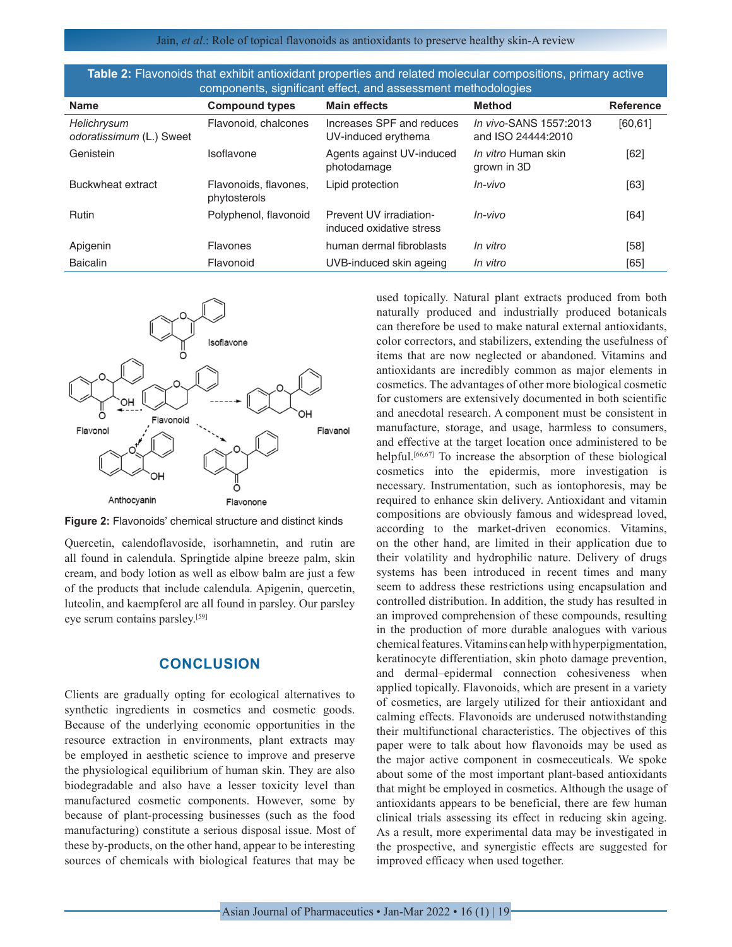Jain, *et al*.: Role of topical flavonoids as antioxidants to preserve healthy skin-A review

| Table 2: Flavonoids that exhibit antioxidant properties and related molecular compositions, primary active |
|------------------------------------------------------------------------------------------------------------|
| components, significant effect, and assessment methodologies                                               |

| componente, eigmneam encor, and accessinem motheaciegico |                                       |                                                     |                                              |                  |  |  |  |  |
|----------------------------------------------------------|---------------------------------------|-----------------------------------------------------|----------------------------------------------|------------------|--|--|--|--|
| <b>Name</b>                                              | <b>Compound types</b>                 | <b>Main effects</b>                                 | <b>Method</b>                                | <b>Reference</b> |  |  |  |  |
| Helichrysum<br>odoratissimum (L.) Sweet                  | Flavonoid, chalcones                  | Increases SPF and reduces<br>UV-induced erythema    | In vivo-SANS 1557:2013<br>and ISO 24444:2010 | [60, 61]         |  |  |  |  |
| Genistein                                                | Isoflavone                            | Agents against UV-induced<br>photodamage            | <i>In vitro</i> Human skin<br>grown in 3D    | [62]             |  |  |  |  |
| Buckwheat extract                                        | Flavonoids, flavones,<br>phytosterols | Lipid protection                                    | $In-vivo$                                    | [63]             |  |  |  |  |
| <b>Rutin</b>                                             | Polyphenol, flavonoid                 | Prevent UV irradiation-<br>induced oxidative stress | $In-vivo$                                    | [64]             |  |  |  |  |
| Apigenin                                                 | <b>Flavones</b>                       | human dermal fibroblasts                            | In vitro                                     | $[58]$           |  |  |  |  |
| <b>Baicalin</b>                                          | Flavonoid                             | UVB-induced skin ageing                             | In vitro                                     | [65]             |  |  |  |  |



**Figure 2:** Flavonoids' chemical structure and distinct kinds

Quercetin, calendoflavoside, isorhamnetin, and rutin are all found in calendula. Springtide alpine breeze palm, skin cream, and body lotion as well as elbow balm are just a few of the products that include calendula. Apigenin, quercetin, luteolin, and kaempferol are all found in parsley. Our parsley eye serum contains parsley.[59]

## **CONCLUSION**

Clients are gradually opting for ecological alternatives to synthetic ingredients in cosmetics and cosmetic goods. Because of the underlying economic opportunities in the resource extraction in environments, plant extracts may be employed in aesthetic science to improve and preserve the physiological equilibrium of human skin. They are also biodegradable and also have a lesser toxicity level than manufactured cosmetic components. However, some by because of plant-processing businesses (such as the food manufacturing) constitute a serious disposal issue. Most of these by-products, on the other hand, appear to be interesting sources of chemicals with biological features that may be

used topically. Natural plant extracts produced from both naturally produced and industrially produced botanicals can therefore be used to make natural external antioxidants, color correctors, and stabilizers, extending the usefulness of items that are now neglected or abandoned. Vitamins and antioxidants are incredibly common as major elements in cosmetics. The advantages of other more biological cosmetic for customers are extensively documented in both scientific and anecdotal research. A component must be consistent in manufacture, storage, and usage, harmless to consumers, and effective at the target location once administered to be helpful.<sup>[66,67]</sup> To increase the absorption of these biological cosmetics into the epidermis, more investigation is necessary. Instrumentation, such as iontophoresis, may be required to enhance skin delivery. Antioxidant and vitamin compositions are obviously famous and widespread loved, according to the market-driven economics. Vitamins, on the other hand, are limited in their application due to their volatility and hydrophilic nature. Delivery of drugs systems has been introduced in recent times and many seem to address these restrictions using encapsulation and controlled distribution. In addition, the study has resulted in an improved comprehension of these compounds, resulting in the production of more durable analogues with various chemical features. Vitamins can help with hyperpigmentation, keratinocyte differentiation, skin photo damage prevention, and dermal–epidermal connection cohesiveness when applied topically. Flavonoids, which are present in a variety of cosmetics, are largely utilized for their antioxidant and calming effects. Flavonoids are underused notwithstanding their multifunctional characteristics. The objectives of this paper were to talk about how flavonoids may be used as the major active component in cosmeceuticals. We spoke about some of the most important plant-based antioxidants that might be employed in cosmetics. Although the usage of antioxidants appears to be beneficial, there are few human clinical trials assessing its effect in reducing skin ageing. As a result, more experimental data may be investigated in the prospective, and synergistic effects are suggested for improved efficacy when used together.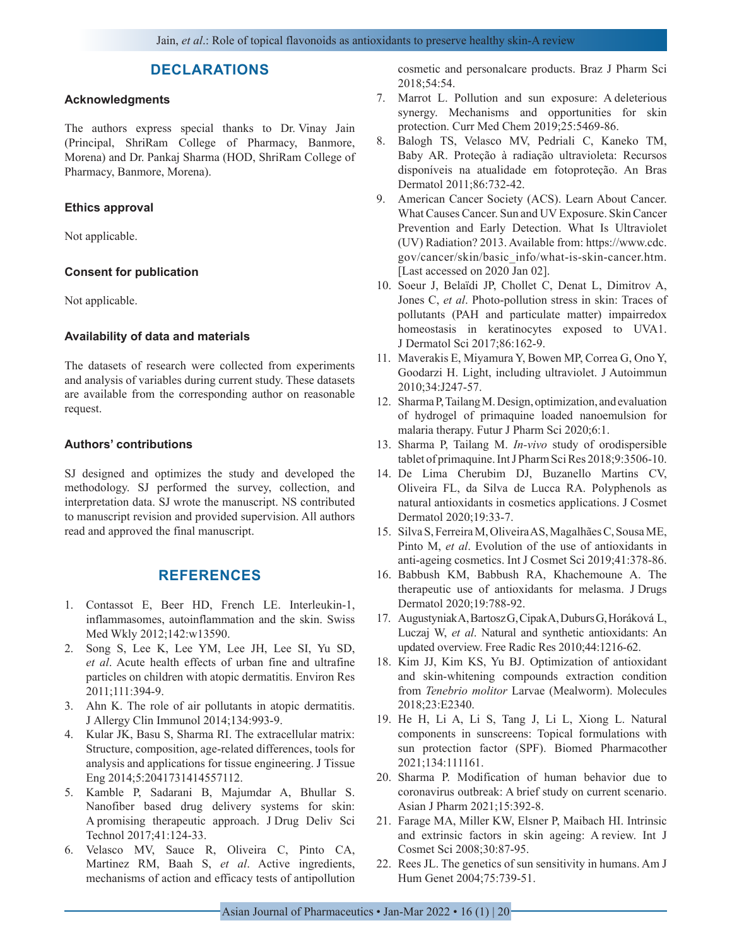## **DECLARATIONS**

## **Acknowledgments**

The authors express special thanks to Dr. Vinay Jain (Principal, ShriRam College of Pharmacy, Banmore, Morena) and Dr. Pankaj Sharma (HOD, ShriRam College of Pharmacy, Banmore, Morena).

#### **Ethics approval**

Not applicable.

#### **Consent for publication**

Not applicable.

#### **Availability of data and materials**

The datasets of research were collected from experiments and analysis of variables during current study. These datasets are available from the corresponding author on reasonable request.

#### **Authors' contributions**

SJ designed and optimizes the study and developed the methodology. SJ performed the survey, collection, and interpretation data. SJ wrote the manuscript. NS contributed to manuscript revision and provided supervision. All authors read and approved the final manuscript.

## **REFERENCES**

- 1. Contassot E, Beer HD, French LE. Interleukin-1, inflammasomes, autoinflammation and the skin. Swiss Med Wkly 2012;142:w13590.
- 2. Song S, Lee K, Lee YM, Lee JH, Lee SI, Yu SD, *et al*. Acute health effects of urban fine and ultrafine particles on children with atopic dermatitis. Environ Res 2011;111:394-9.
- 3. Ahn K. The role of air pollutants in atopic dermatitis. J Allergy Clin Immunol 2014;134:993-9.
- 4. Kular JK, Basu S, Sharma RI. The extracellular matrix: Structure, composition, age-related differences, tools for analysis and applications for tissue engineering. J Tissue Eng 2014;5:2041731414557112.
- 5. Kamble P, Sadarani B, Majumdar A, Bhullar S. Nanofiber based drug delivery systems for skin: A promising therapeutic approach. J Drug Deliv Sci Technol 2017;41:124-33.
- 6. Velasco MV, Sauce R, Oliveira C, Pinto CA, Martinez RM, Baah S, *et al*. Active ingredients, mechanisms of action and efficacy tests of antipollution

cosmetic and personalcare products. Braz J Pharm Sci 2018;54:54.

- 7. Marrot L. Pollution and sun exposure: A deleterious synergy. Mechanisms and opportunities for skin protection. Curr Med Chem 2019;25:5469-86.
- 8. Balogh TS, Velasco MV, Pedriali C, Kaneko TM, Baby AR. Proteção à radiação ultravioleta: Recursos disponíveis na atualidade em fotoproteção. An Bras Dermatol 2011;86:732-42.
- 9. American Cancer Society (ACS). Learn About Cancer. What Causes Cancer. Sun and UV Exposure. Skin Cancer Prevention and Early Detection. What Is Ultraviolet (UV) Radiation? 2013. Available from: https://www.cdc. gov/cancer/skin/basic\_info/what-is-skin-cancer.htm. [Last accessed on 2020 Jan 02].
- 10. Soeur J, Belaïdi JP, Chollet C, Denat L, Dimitrov A, Jones C, *et al*. Photo-pollution stress in skin: Traces of pollutants (PAH and particulate matter) impairredox homeostasis in keratinocytes exposed to UVA1. J Dermatol Sci 2017;86:162-9.
- 11. Maverakis E, Miyamura Y, Bowen MP, Correa G, Ono Y, Goodarzi H. Light, including ultraviolet. J Autoimmun 2010;34:J247-57.
- 12. Sharma P, Tailang M. Design, optimization, and evaluation of hydrogel of primaquine loaded nanoemulsion for malaria therapy. Futur J Pharm Sci 2020;6:1.
- 13. Sharma P, Tailang M. *In-vivo* study of orodispersible tablet of primaquine. Int J Pharm Sci Res 2018;9:3506-10.
- 14. De Lima Cherubim DJ, Buzanello Martins CV, Oliveira FL, da Silva de Lucca RA. Polyphenols as natural antioxidants in cosmetics applications. J Cosmet Dermatol 2020;19:33-7.
- 15. Silva S, Ferreira M, Oliveira AS, Magalhães C, Sousa ME, Pinto M, *et al*. Evolution of the use of antioxidants in anti-ageing cosmetics. Int J Cosmet Sci 2019;41:378-86.
- 16. Babbush KM, Babbush RA, Khachemoune A. The therapeutic use of antioxidants for melasma. J Drugs Dermatol 2020;19:788-92.
- 17. Augustyniak A, Bartosz G, Cipak A, Duburs G, Horáková L, Luczaj W, *et al*. Natural and synthetic antioxidants: An updated overview. Free Radic Res 2010;44:1216-62.
- 18. Kim JJ, Kim KS, Yu BJ. Optimization of antioxidant and skin-whitening compounds extraction condition from *Tenebrio molitor* Larvae (Mealworm). Molecules 2018;23:E2340.
- 19. He H, Li A, Li S, Tang J, Li L, Xiong L. Natural components in sunscreens: Topical formulations with sun protection factor (SPF). Biomed Pharmacother 2021;134:111161.
- 20. Sharma P. Modification of human behavior due to coronavirus outbreak: A brief study on current scenario. Asian J Pharm 2021;15:392-8.
- 21. Farage MA, Miller KW, Elsner P, Maibach HI. Intrinsic and extrinsic factors in skin ageing: A review. Int J Cosmet Sci 2008;30:87-95.
- 22. Rees JL. The genetics of sun sensitivity in humans. Am J Hum Genet 2004;75:739-51.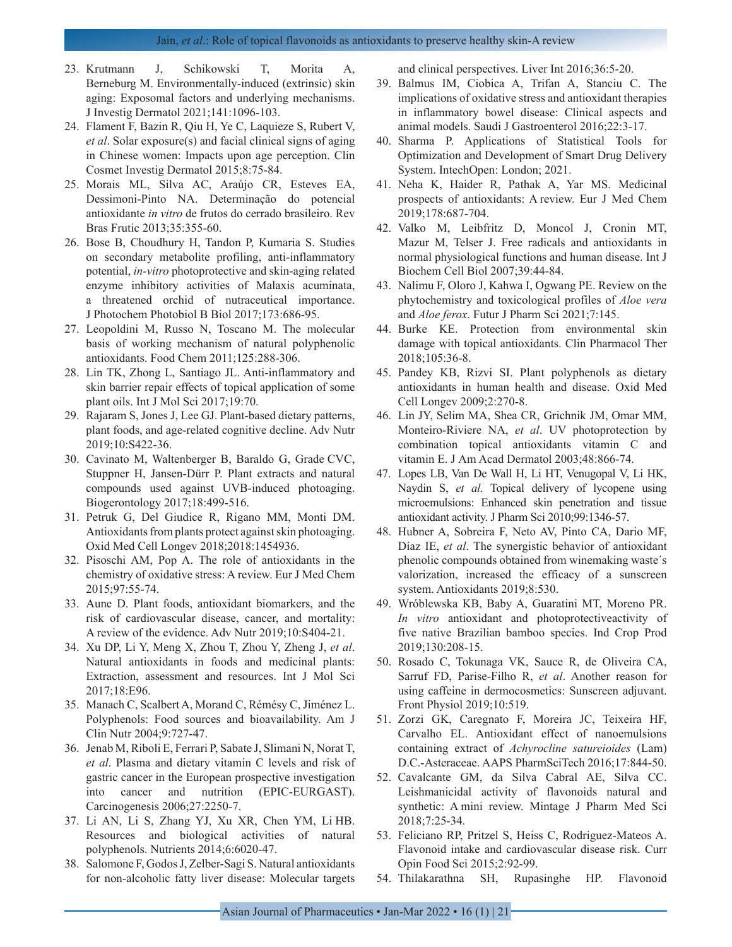- 23. Krutmann J, Schikowski T, Morita A, Berneburg M. Environmentally-induced (extrinsic) skin aging: Exposomal factors and underlying mechanisms. J Investig Dermatol 2021;141:1096-103.
- 24. Flament F, Bazin R, Qiu H, Ye C, Laquieze S, Rubert V, *et al*. Solar exposure(s) and facial clinical signs of aging in Chinese women: Impacts upon age perception. Clin Cosmet Investig Dermatol 2015;8:75-84.
- 25. Morais ML, Silva AC, Araújo CR, Esteves EA, Dessimoni-Pinto NA. Determinação do potencial antioxidante *in vitro* de frutos do cerrado brasileiro. Rev Bras Frutic 2013;35:355-60.
- 26. Bose B, Choudhury H, Tandon P, Kumaria S. Studies on secondary metabolite profiling, anti-inflammatory potential, *in-vitro* photoprotective and skin-aging related enzyme inhibitory activities of Malaxis acuminata, a threatened orchid of nutraceutical importance. J Photochem Photobiol B Biol 2017;173:686-95.
- 27. Leopoldini M, Russo N, Toscano M. The molecular basis of working mechanism of natural polyphenolic antioxidants. Food Chem 2011;125:288-306.
- 28. Lin TK, Zhong L, Santiago JL. Anti-inflammatory and skin barrier repair effects of topical application of some plant oils. Int J Mol Sci 2017;19:70.
- 29. Rajaram S, Jones J, Lee GJ. Plant-based dietary patterns, plant foods, and age-related cognitive decline. Adv Nutr 2019;10:S422-36.
- 30. Cavinato M, Waltenberger B, Baraldo G, Grade CVC, Stuppner H, Jansen-Dürr P. Plant extracts and natural compounds used against UVB-induced photoaging. Biogerontology 2017;18:499-516.
- 31. Petruk G, Del Giudice R, Rigano MM, Monti DM. Antioxidants from plants protect against skin photoaging. Oxid Med Cell Longev 2018;2018:1454936.
- 32. Pisoschi AM, Pop A. The role of antioxidants in the chemistry of oxidative stress: A review. Eur J Med Chem 2015;97:55-74.
- 33. Aune D. Plant foods, antioxidant biomarkers, and the risk of cardiovascular disease, cancer, and mortality: A review of the evidence. Adv Nutr 2019;10:S404-21.
- 34. Xu DP, Li Y, Meng X, Zhou T, Zhou Y, Zheng J, *et al*. Natural antioxidants in foods and medicinal plants: Extraction, assessment and resources. Int J Mol Sci 2017;18:E96.
- 35. Manach C, Scalbert A, Morand C, Rémésy C, Jiménez L. Polyphenols: Food sources and bioavailability. Am J Clin Nutr 2004;9:727-47.
- 36. Jenab M, Riboli E, Ferrari P, Sabate J, Slimani N, Norat T, *et al*. Plasma and dietary vitamin C levels and risk of gastric cancer in the European prospective investigation into cancer and nutrition (EPIC-EURGAST). Carcinogenesis 2006;27:2250-7.
- 37. Li AN, Li S, Zhang YJ, Xu XR, Chen YM, Li HB. Resources and biological activities of natural polyphenols. Nutrients 2014;6:6020-47.
- 38. Salomone F, Godos J, Zelber-Sagi S. Natural antioxidants for non-alcoholic fatty liver disease: Molecular targets

and clinical perspectives. Liver Int 2016;36:5-20.

- 39. Balmus IM, Ciobica A, Trifan A, Stanciu C. The implications of oxidative stress and antioxidant therapies in inflammatory bowel disease: Clinical aspects and animal models. Saudi J Gastroenterol 2016;22:3-17.
- 40. Sharma P. Applications of Statistical Tools for Optimization and Development of Smart Drug Delivery System. IntechOpen: London; 2021.
- 41. Neha K, Haider R, Pathak A, Yar MS. Medicinal prospects of antioxidants: A review. Eur J Med Chem 2019;178:687-704.
- 42. Valko M, Leibfritz D, Moncol J, Cronin MT, Mazur M, Telser J. Free radicals and antioxidants in normal physiological functions and human disease. Int J Biochem Cell Biol 2007;39:44-84.
- 43. Nalimu F, Oloro J, Kahwa I, Ogwang PE. Review on the phytochemistry and toxicological profiles of *Aloe vera*  and *Aloe ferox*. Futur J Pharm Sci 2021;7:145.
- 44. Burke KE. Protection from environmental skin damage with topical antioxidants. Clin Pharmacol Ther 2018;105:36-8.
- 45. Pandey KB, Rizvi SI. Plant polyphenols as dietary antioxidants in human health and disease. Oxid Med Cell Longev 2009;2:270-8.
- 46. Lin JY, Selim MA, Shea CR, Grichnik JM, Omar MM, Monteiro-Riviere NA, *et al*. UV photoprotection by combination topical antioxidants vitamin C and vitamin E. J Am Acad Dermatol 2003;48:866-74.
- 47. Lopes LB, Van De Wall H, Li HT, Venugopal V, Li HK, Naydin S, *et al*. Topical delivery of lycopene using microemulsions: Enhanced skin penetration and tissue antioxidant activity. J Pharm Sci 2010;99:1346-57.
- 48. Hubner A, Sobreira F, Neto AV, Pinto CA, Dario MF, Díaz IE, *et al*. The synergistic behavior of antioxidant phenolic compounds obtained from winemaking waste´s valorization, increased the efficacy of a sunscreen system. Antioxidants 2019;8:530.
- 49. Wróblewska KB, Baby A, Guaratini MT, Moreno PR. *In vitro* antioxidant and photoprotectiveactivity of five native Brazilian bamboo species. Ind Crop Prod 2019;130:208-15.
- 50. Rosado C, Tokunaga VK, Sauce R, de Oliveira CA, Sarruf FD, Parise-Filho R, *et al*. Another reason for using caffeine in dermocosmetics: Sunscreen adjuvant. Front Physiol 2019;10:519.
- 51. Zorzi GK, Caregnato F, Moreira JC, Teixeira HF, Carvalho EL. Antioxidant effect of nanoemulsions containing extract of *Achyrocline satureioides* (Lam) D.C.-Asteraceae. AAPS PharmSciTech 2016;17:844-50.
- 52. Cavalcante GM, da Silva Cabral AE, Silva CC. Leishmanicidal activity of flavonoids natural and synthetic: A mini review. Mintage J Pharm Med Sci 2018;7:25-34.
- 53. Feliciano RP, Pritzel S, Heiss C, Rodriguez-Mateos A. Flavonoid intake and cardiovascular disease risk. Curr Opin Food Sci 2015;2:92-99.
- 54. Thilakarathna SH, Rupasinghe HP. Flavonoid